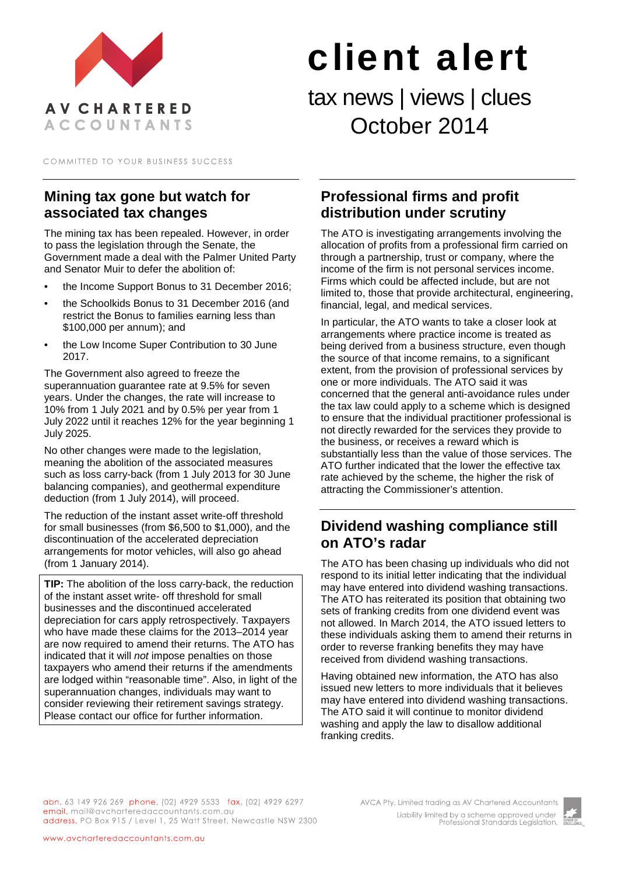

# client alert

tax news | views | clues October 2014

COMMITTED TO YOUR BUSINESS SUCCESS

### **Mining tax gone but watch for associated tax changes**

The mining tax has been repealed. However, in order to pass the legislation through the Senate, the Government made a deal with the Palmer United Party and Senator Muir to defer the abolition of:

- the Income Support Bonus to 31 December 2016;
- the Schoolkids Bonus to 31 December 2016 (and restrict the Bonus to families earning less than \$100,000 per annum); and
- the Low Income Super Contribution to 30 June 2017.

The Government also agreed to freeze the superannuation guarantee rate at 9.5% for seven years. Under the changes, the rate will increase to 10% from 1 July 2021 and by 0.5% per year from 1 July 2022 until it reaches 12% for the year beginning 1 July 2025.

No other changes were made to the legislation, meaning the abolition of the associated measures such as loss carry-back (from 1 July 2013 for 30 June balancing companies), and geothermal expenditure deduction (from 1 July 2014), will proceed.

The reduction of the instant asset write-off threshold for small businesses (from \$6,500 to \$1,000), and the discontinuation of the accelerated depreciation arrangements for motor vehicles, will also go ahead (from 1 January 2014).

**TIP:** The abolition of the loss carry-back, the reduction of the instant asset write- off threshold for small businesses and the discontinued accelerated depreciation for cars apply retrospectively. Taxpayers who have made these claims for the 2013–2014 year are now required to amend their returns. The ATO has indicated that it will *not* impose penalties on those taxpayers who amend their returns if the amendments are lodged within "reasonable time". Also, in light of the superannuation changes, individuals may want to consider reviewing their retirement savings strategy. Please contact our office for further information.

#### **Professional firms and profit distribution under scrutiny**

The ATO is investigating arrangements involving the allocation of profits from a professional firm carried on through a partnership, trust or company, where the income of the firm is not personal services income. Firms which could be affected include, but are not limited to, those that provide architectural, engineering, financial, legal, and medical services.

In particular, the ATO wants to take a closer look at arrangements where practice income is treated as being derived from a business structure, even though the source of that income remains, to a significant extent, from the provision of professional services by one or more individuals. The ATO said it was concerned that the general anti-avoidance rules under the tax law could apply to a scheme which is designed to ensure that the individual practitioner professional is not directly rewarded for the services they provide to the business, or receives a reward which is substantially less than the value of those services. The ATO further indicated that the lower the effective tax rate achieved by the scheme, the higher the risk of attracting the Commissioner's attention.

### **Dividend washing compliance still on ATO's radar**

The ATO has been chasing up individuals who did not respond to its initial letter indicating that the individual may have entered into dividend washing transactions. The ATO has reiterated its position that obtaining two sets of franking credits from one dividend event was not allowed. In March 2014, the ATO issued letters to these individuals asking them to amend their returns in order to reverse franking benefits they may have received from dividend washing transactions.

Having obtained new information, the ATO has also issued new letters to more individuals that it believes may have entered into dividend washing transactions. The ATO said it will continue to monitor dividend washing and apply the law to disallow additional franking credits.

abn. 63 149 926 269 phone. (02) 4929 5533 fax. (02) 4929 6297 email. mail@avcharteredaccountants.com.au address. PO Box 915 / Level 1, 25 Watt Street, Newcastle NSW 2300